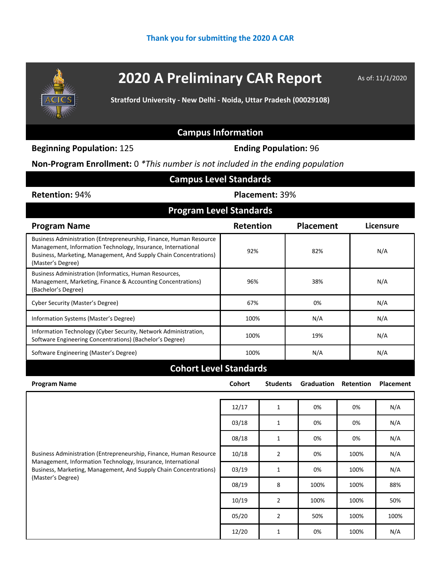

## **2020 A Preliminary CAR Report** As of: 11/1/2020

**Stratford University - New Delhi - Noida, Uttar Pradesh (00029108)**

## **Campus Information**

**Beginning Population:** 125 **Ending Population:** 96

**Non-Program Enrollment:** 0 *\*This number is not included in the ending population*

| <b>Campus Level Standards</b>  |                  |           |  |  |  |  |
|--------------------------------|------------------|-----------|--|--|--|--|
| <b>Placement: 39%</b>          |                  |           |  |  |  |  |
| <b>Program Level Standards</b> |                  |           |  |  |  |  |
| <b>Retention</b>               | <b>Placement</b> | Licensure |  |  |  |  |
| 92%                            | 82%              | N/A       |  |  |  |  |
| 96%                            | 38%              | N/A       |  |  |  |  |
| 67%                            | 0%               | N/A       |  |  |  |  |
| 100%                           | N/A              | N/A       |  |  |  |  |
| 100%                           | 19%              | N/A       |  |  |  |  |
| 100%                           | N/A              | N/A       |  |  |  |  |
|                                |                  |           |  |  |  |  |

| <b>Program Name</b>                                                                                                                                                                                                          | <b>Cohort</b> | <b>Students</b> | <b>Graduation</b> | <b>Retention</b> | <b>Placement</b> |
|------------------------------------------------------------------------------------------------------------------------------------------------------------------------------------------------------------------------------|---------------|-----------------|-------------------|------------------|------------------|
|                                                                                                                                                                                                                              |               |                 |                   |                  |                  |
| Business Administration (Entrepreneurship, Finance, Human Resource<br>Management, Information Technology, Insurance, International<br>Business, Marketing, Management, And Supply Chain Concentrations)<br>(Master's Degree) | 12/17         | 1               | 0%                | 0%               | N/A              |
|                                                                                                                                                                                                                              | 03/18         | 1               | 0%                | 0%               | N/A              |
|                                                                                                                                                                                                                              | 08/18         | 1               | 0%                | 0%               | N/A              |
|                                                                                                                                                                                                                              | 10/18         | $\overline{2}$  | 0%                | 100%             | N/A              |
|                                                                                                                                                                                                                              | 03/19         | 1               | 0%                | 100%             | N/A              |
|                                                                                                                                                                                                                              | 08/19         | 8               | 100%              | 100%             | 88%              |
|                                                                                                                                                                                                                              | 10/19         | $\overline{2}$  | 100%              | 100%             | 50%              |
|                                                                                                                                                                                                                              | 05/20         | $\overline{2}$  | 50%               | 100%             | 100%             |
|                                                                                                                                                                                                                              | 12/20         | 1               | 0%                | 100%             | N/A              |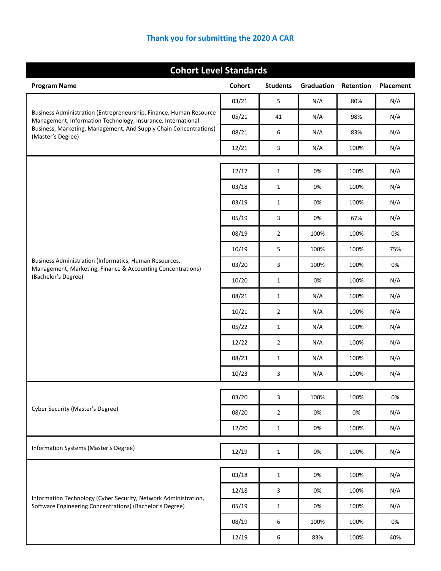## **Thank you for submitting the 2020 A CAR**

| <b>Cohort Level Standards</b>                                                                                                      |        |                 |            |           |           |
|------------------------------------------------------------------------------------------------------------------------------------|--------|-----------------|------------|-----------|-----------|
| <b>Program Name</b>                                                                                                                | Cohort | <b>Students</b> | Graduation | Retention | Placement |
| Business Administration (Entrepreneurship, Finance, Human Resource<br>Management, Information Technology, Insurance, International | 03/21  | 5               | N/A        | 80%       | N/A       |
|                                                                                                                                    | 05/21  | 41              | N/A        | 98%       | N/A       |
| Business, Marketing, Management, And Supply Chain Concentrations)<br>(Master's Degree)                                             | 08/21  | 6               | N/A        | 83%       | N/A       |
|                                                                                                                                    | 12/21  | 3               | N/A        | 100%      | N/A       |
|                                                                                                                                    |        |                 | 0%         | 100%      |           |
|                                                                                                                                    | 12/17  | $\mathbf{1}$    |            |           | N/A       |
|                                                                                                                                    | 03/18  | $\mathbf{1}$    | 0%         | 100%      | N/A       |
|                                                                                                                                    | 03/19  | $\mathbf{1}$    | 0%         | 100%      | N/A       |
|                                                                                                                                    | 05/19  | 3               | 0%         | 67%       | N/A       |
|                                                                                                                                    | 08/19  | $\overline{2}$  | 100%       | 100%      | 0%        |
| Business Administration (Informatics, Human Resources,<br>Management, Marketing, Finance & Accounting Concentrations)              | 10/19  | 5               | 100%       | 100%      | 75%       |
|                                                                                                                                    | 03/20  | 3               | 100%       | 100%      | 0%        |
| (Bachelor's Degree)                                                                                                                | 10/20  | $\mathbf{1}$    | 0%         | 100%      | N/A       |
|                                                                                                                                    | 08/21  | $\mathbf{1}$    | N/A        | 100%      | N/A       |
|                                                                                                                                    | 10/21  | $\overline{2}$  | N/A        | 100%      | N/A       |
|                                                                                                                                    | 05/22  | 1               | N/A        | 100%      | N/A       |
|                                                                                                                                    | 12/22  | $\overline{2}$  | N/A        | 100%      | N/A       |
|                                                                                                                                    | 08/23  | $\mathbf{1}$    | N/A        | 100%      | N/A       |
|                                                                                                                                    | 10/23  | 3               | N/A        | 100%      | N/A       |
| Cyber Security (Master's Degree)                                                                                                   | 03/20  | 3               | 100%       | 100%      | 0%        |
|                                                                                                                                    | 08/20  | $\overline{2}$  | 0%         | 0%        | N/A       |
|                                                                                                                                    | 12/20  | $\mathbf{1}$    | 0%         | 100%      | N/A       |
|                                                                                                                                    |        |                 |            |           |           |
| Information Systems (Master's Degree)                                                                                              | 12/19  | $\mathbf{1}$    | 0%         | 100%      | N/A       |
| Information Technology (Cyber Security, Network Administration,<br>Software Engineering Concentrations) (Bachelor's Degree)        | 03/18  | $\mathbf{1}$    | 0%         | 100%      | N/A       |
|                                                                                                                                    | 12/18  | 3               | 0%         | 100%      | N/A       |
|                                                                                                                                    | 05/19  | $\mathbf{1}$    | 0%         | 100%      | N/A       |
|                                                                                                                                    | 08/19  | 6               | 100%       | 100%      | 0%        |
|                                                                                                                                    | 12/19  | 6               | 83%        | 100%      | 40%       |